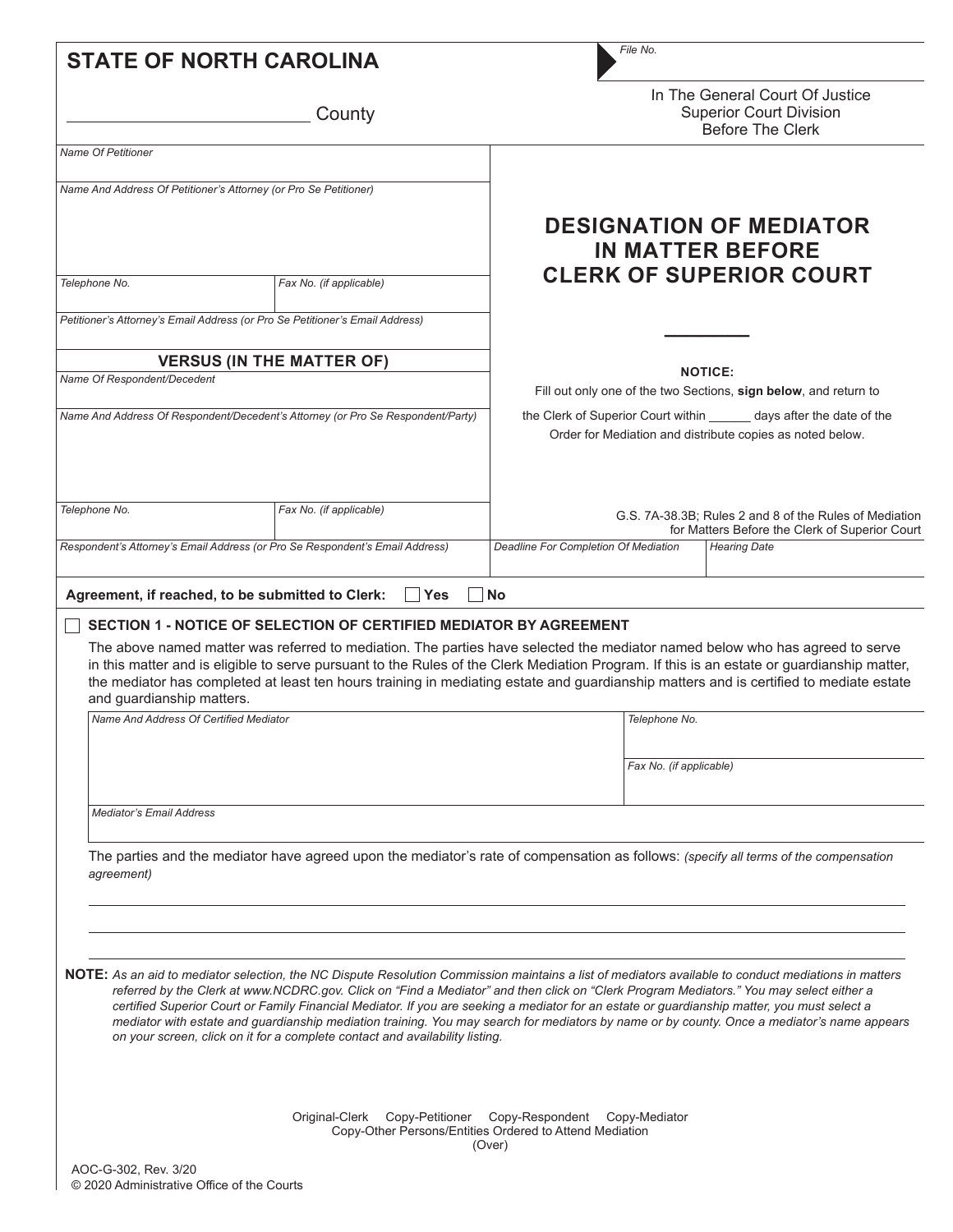| <b>STATE OF NORTH CAROLINA</b>                                                  |                                                                              | File No.                                                                                                                                                                                                                                                                                                                                                                                                                                                                                                                                                                                       |  |  |  |
|---------------------------------------------------------------------------------|------------------------------------------------------------------------------|------------------------------------------------------------------------------------------------------------------------------------------------------------------------------------------------------------------------------------------------------------------------------------------------------------------------------------------------------------------------------------------------------------------------------------------------------------------------------------------------------------------------------------------------------------------------------------------------|--|--|--|
|                                                                                 | County                                                                       | In The General Court Of Justice<br><b>Superior Court Division</b><br><b>Before The Clerk</b>                                                                                                                                                                                                                                                                                                                                                                                                                                                                                                   |  |  |  |
| <b>Name Of Petitioner</b>                                                       |                                                                              |                                                                                                                                                                                                                                                                                                                                                                                                                                                                                                                                                                                                |  |  |  |
| Name And Address Of Petitioner's Attorney (or Pro Se Petitioner)                |                                                                              |                                                                                                                                                                                                                                                                                                                                                                                                                                                                                                                                                                                                |  |  |  |
|                                                                                 |                                                                              | <b>DESIGNATION OF MEDIATOR</b><br><b>IN MATTER BEFORE</b>                                                                                                                                                                                                                                                                                                                                                                                                                                                                                                                                      |  |  |  |
| Telephone No.                                                                   | Fax No. (if applicable)                                                      | <b>CLERK OF SUPERIOR COURT</b>                                                                                                                                                                                                                                                                                                                                                                                                                                                                                                                                                                 |  |  |  |
| Petitioner's Attorney's Email Address (or Pro Se Petitioner's Email Address)    |                                                                              |                                                                                                                                                                                                                                                                                                                                                                                                                                                                                                                                                                                                |  |  |  |
|                                                                                 | <b>VERSUS (IN THE MATTER OF)</b>                                             |                                                                                                                                                                                                                                                                                                                                                                                                                                                                                                                                                                                                |  |  |  |
| Name Of Respondent/Decedent                                                     |                                                                              | <b>NOTICE:</b><br>Fill out only one of the two Sections, sign below, and return to                                                                                                                                                                                                                                                                                                                                                                                                                                                                                                             |  |  |  |
| Name And Address Of Respondent/Decedent's Attorney (or Pro Se Respondent/Party) |                                                                              | the Clerk of Superior Court within _______ days after the date of the<br>Order for Mediation and distribute copies as noted below.                                                                                                                                                                                                                                                                                                                                                                                                                                                             |  |  |  |
| Telephone No.                                                                   | Fax No. (if applicable)                                                      | G.S. 7A-38.3B; Rules 2 and 8 of the Rules of Mediation<br>for Matters Before the Clerk of Superior Court                                                                                                                                                                                                                                                                                                                                                                                                                                                                                       |  |  |  |
|                                                                                 | Respondent's Attorney's Email Address (or Pro Se Respondent's Email Address) | Deadline For Completion Of Mediation<br><b>Hearing Date</b>                                                                                                                                                                                                                                                                                                                                                                                                                                                                                                                                    |  |  |  |
| Agreement, if reached, to be submitted to Clerk:                                | Yes                                                                          | No                                                                                                                                                                                                                                                                                                                                                                                                                                                                                                                                                                                             |  |  |  |
| and guardianship matters.<br>Name And Address Of Certified Mediator             | SECTION 1 - NOTICE OF SELECTION OF CERTIFIED MEDIATOR BY AGREEMENT           | The above named matter was referred to mediation. The parties have selected the mediator named below who has agreed to serve<br>in this matter and is eligible to serve pursuant to the Rules of the Clerk Mediation Program. If this is an estate or guardianship matter,<br>the mediator has completed at least ten hours training in mediating estate and guardianship matters and is certified to mediate estate<br>Telephone No.                                                                                                                                                          |  |  |  |
|                                                                                 |                                                                              |                                                                                                                                                                                                                                                                                                                                                                                                                                                                                                                                                                                                |  |  |  |
|                                                                                 |                                                                              | Fax No. (if applicable)                                                                                                                                                                                                                                                                                                                                                                                                                                                                                                                                                                        |  |  |  |
| <b>Mediator's Email Address</b>                                                 |                                                                              |                                                                                                                                                                                                                                                                                                                                                                                                                                                                                                                                                                                                |  |  |  |
| agreement)                                                                      |                                                                              | The parties and the mediator have agreed upon the mediator's rate of compensation as follows: (specify all terms of the compensation                                                                                                                                                                                                                                                                                                                                                                                                                                                           |  |  |  |
|                                                                                 | on your screen, click on it for a complete contact and availability listing. | NOTE: As an aid to mediator selection, the NC Dispute Resolution Commission maintains a list of mediators available to conduct mediations in matters<br>referred by the Clerk at www.NCDRC.gov. Click on "Find a Mediator" and then click on "Clerk Program Mediators." You may select either a<br>certified Superior Court or Family Financial Mediator. If you are seeking a mediator for an estate or guardianship matter, you must select a<br>mediator with estate and guardianship mediation training. You may search for mediators by name or by county. Once a mediator's name appears |  |  |  |
|                                                                                 |                                                                              | Original-Clerk Copy-Petitioner Copy-Respondent Copy-Mediator<br>Copy-Other Persons/Entities Ordered to Attend Mediation<br>(Over)                                                                                                                                                                                                                                                                                                                                                                                                                                                              |  |  |  |